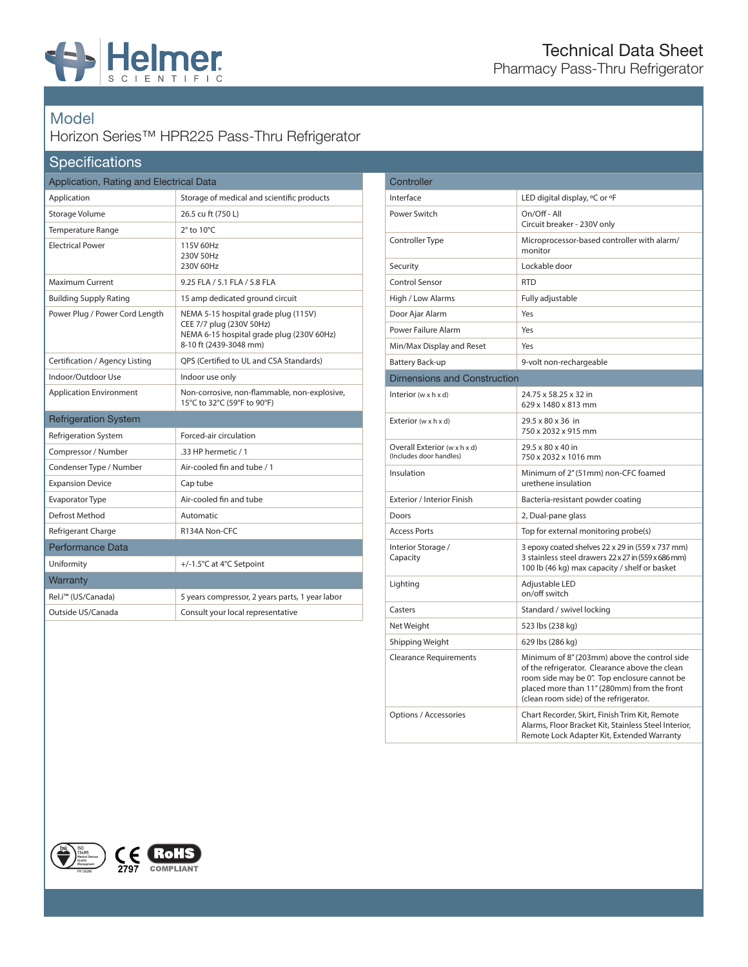

## Model

## Horizon Series™ HPR225 Pass-Thru Refrigerator

## **Specifications**

| Application, Rating and Electrical Data |                                                                                                                                         |
|-----------------------------------------|-----------------------------------------------------------------------------------------------------------------------------------------|
| Application                             | Storage of medical and scientific products                                                                                              |
| Storage Volume                          | 26.5 cu ft (750 L)                                                                                                                      |
| <b>Temperature Range</b>                | $2^\circ$ to $10^\circ C$                                                                                                               |
| <b>Electrical Power</b>                 | 115V 60Hz<br>230V 50Hz<br>230V 60Hz                                                                                                     |
| Maximum Current                         | 9.25 FLA / 5.1 FLA / 5.8 FLA                                                                                                            |
| <b>Building Supply Rating</b>           | 15 amp dedicated ground circuit                                                                                                         |
| Power Plug / Power Cord Length          | NEMA 5-15 hospital grade plug (115V)<br>CEE 7/7 plug (230V 50Hz)<br>NEMA 6-15 hospital grade plug (230V 60Hz)<br>8-10 ft (2439-3048 mm) |
| Certification / Agency Listing          | OPS (Certified to UL and CSA Standards)                                                                                                 |
| Indoor/Outdoor Use                      | Indoor use only                                                                                                                         |
| <b>Application Environment</b>          | Non-corrosive, non-flammable, non-explosive,<br>15°C to 32°C (59°F to 90°F)                                                             |
| <b>Refrigeration System</b>             |                                                                                                                                         |
| <b>Refrigeration System</b>             | Forced-air circulation                                                                                                                  |
| Compressor / Number                     | .33 HP hermetic / 1                                                                                                                     |
| Condenser Type / Number                 | Air-cooled fin and tube / 1                                                                                                             |
| <b>Expansion Device</b>                 | Cap tube                                                                                                                                |
| <b>Evaporator Type</b>                  | Air-cooled fin and tube                                                                                                                 |
| <b>Defrost Method</b>                   | Automatic                                                                                                                               |
| Refrigerant Charge                      | R134A Non-CFC                                                                                                                           |
| Performance Data                        |                                                                                                                                         |
| Uniformity                              | +/-1.5°C at 4°C Setpoint                                                                                                                |
| Warranty                                |                                                                                                                                         |
| Rel.i <sup>™</sup> (US/Canada)          | 5 years compressor, 2 years parts, 1 year labor                                                                                         |
| Outside US/Canada                       | Consult your local representative                                                                                                       |

| Controller                                              |                                                                                                                                                                                                                                         |
|---------------------------------------------------------|-----------------------------------------------------------------------------------------------------------------------------------------------------------------------------------------------------------------------------------------|
| Interface                                               | LED digital display, °C or °F                                                                                                                                                                                                           |
| Power Switch                                            | On/Off - All<br>Circuit breaker - 230V only                                                                                                                                                                                             |
| Controller Type                                         | Microprocessor-based controller with alarm/<br>monitor                                                                                                                                                                                  |
| Security                                                | Lockable door                                                                                                                                                                                                                           |
| <b>Control Sensor</b>                                   | <b>RTD</b>                                                                                                                                                                                                                              |
| High / Low Alarms                                       | Fully adjustable                                                                                                                                                                                                                        |
| Door Ajar Alarm                                         | Yes                                                                                                                                                                                                                                     |
| Power Failure Alarm                                     | Yes                                                                                                                                                                                                                                     |
| Min/Max Display and Reset                               | Yes                                                                                                                                                                                                                                     |
| Battery Back-up                                         | 9-volt non-rechargeable                                                                                                                                                                                                                 |
| <b>Dimensions and Construction</b>                      |                                                                                                                                                                                                                                         |
| Interior ( $w \times h \times d$ )                      | 24.75 x 58.25 x 32 in<br>629 x 1480 x 813 mm                                                                                                                                                                                            |
| Exterior $(w \times h \times d)$                        | 29.5 x 80 x 36 in<br>750 x 2032 x 915 mm                                                                                                                                                                                                |
| Overall Exterior (w x h x d)<br>(Includes door handles) | 29.5 x 80 x 40 in<br>750 x 2032 x 1016 mm                                                                                                                                                                                               |
| Insulation                                              | Minimum of 2" (51mm) non-CFC foamed<br>urethene insulation                                                                                                                                                                              |
| Exterior / Interior Finish                              | Bacteria-resistant powder coating                                                                                                                                                                                                       |
| Doors                                                   | 2, Dual-pane glass                                                                                                                                                                                                                      |
| <b>Access Ports</b>                                     | Top for external monitoring probe(s)                                                                                                                                                                                                    |
| Interior Storage /<br>Capacity                          | 3 epoxy coated shelves 22 x 29 in (559 x 737 mm)<br>3 stainless steel drawers 22 x 27 in (559 x 686 mm)<br>100 lb (46 kg) max capacity / shelf or basket                                                                                |
| Lighting                                                | Adjustable LED<br>on/off switch                                                                                                                                                                                                         |
| Casters                                                 | Standard / swivel locking                                                                                                                                                                                                               |
| Net Weight                                              | 523 lbs (238 kg)                                                                                                                                                                                                                        |
| Shipping Weight                                         | 629 lbs (286 kg)                                                                                                                                                                                                                        |
| <b>Clearance Requirements</b>                           | Minimum of 8" (203mm) above the control side<br>of the refrigerator. Clearance above the clean<br>room side may be 0". Top enclosure cannot be<br>placed more than 11" (280mm) from the front<br>(clean room side) of the refrigerator. |
| Options / Accessories                                   | Chart Recorder, Skirt, Finish Trim Kit, Remote<br>Alarms, Floor Bracket Kit, Stainless Steel Interior,<br>Remote Lock Adapter Kit, Extended Warranty                                                                                    |
|                                                         |                                                                                                                                                                                                                                         |